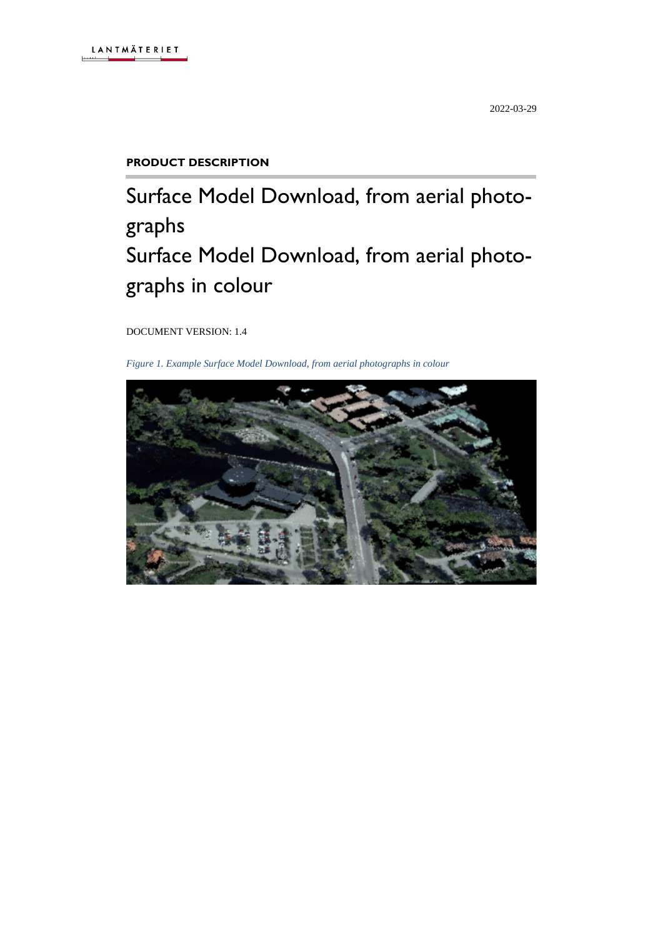# **PRODUCT DESCRIPTION**

# Surface Model Download, from aerial photographs Surface Model Download, from aerial photographs in colour

DOCUMENT VERSION: 1.4

*Figure 1. Example Surface Model Download, from aerial photographs in colour*

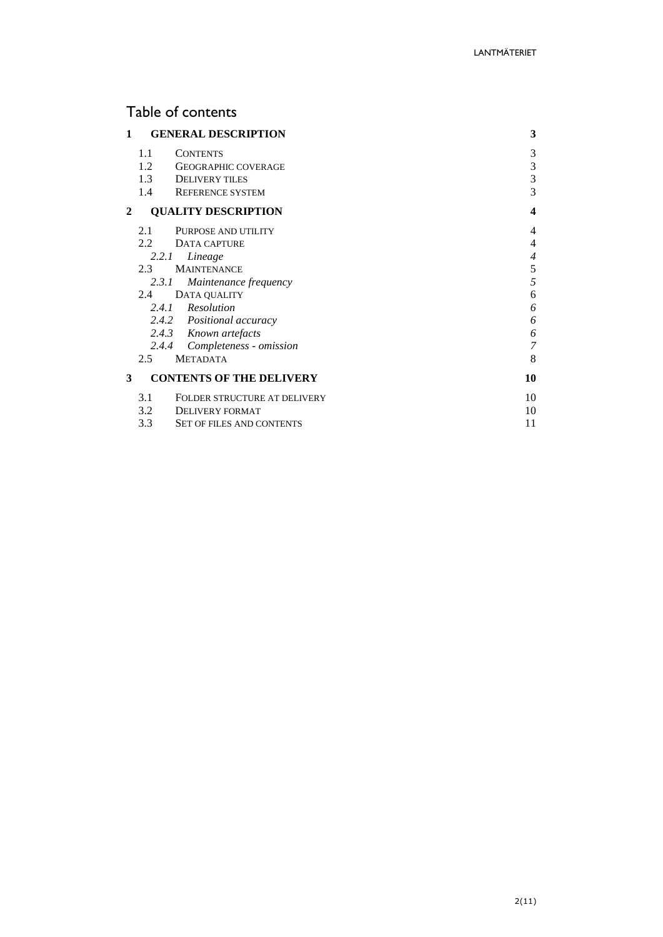# Table of contents

| 1 | <b>GENERAL DESCRIPTION</b>                                                                                                                                                                                             | 3                                                 |
|---|------------------------------------------------------------------------------------------------------------------------------------------------------------------------------------------------------------------------|---------------------------------------------------|
|   | 1.1<br><b>CONTENTS</b><br>1.2<br><b>GEOGRAPHIC COVERAGE</b><br>1.3<br><b>DELIVERY TILES</b>                                                                                                                            | 3<br>3<br>3                                       |
| 2 | 1.4<br><b>REFERENCE SYSTEM</b><br><b>QUALITY DESCRIPTION</b>                                                                                                                                                           | 3<br>4                                            |
|   | 2.1<br>PURPOSE AND UTILITY<br>$2.2^{\circ}$<br>DATA CAPTURE<br>2.2.1<br>Lineage<br>2.3<br><b>MAINTENANCE</b><br>Maintenance frequency<br>2.3.1<br>DATA QUALITY<br>2.4<br>2.4.1 Resolution<br>2.4.2 Positional accuracy | 4<br>4<br>$\overline{4}$<br>5<br>5<br>6<br>6<br>6 |
| 3 | 2.4.3 Known artefacts<br>2.4.4 Completeness - omission<br>$2.5^{\circ}$<br><b>METADATA</b><br><b>CONTENTS OF THE DELIVERY</b>                                                                                          | 6<br>$\overline{7}$<br>8<br>10                    |
|   | 3.1<br>FOLDER STRUCTURE AT DELIVERY<br>3.2<br>DELIVERY FORMAT<br>3.3<br><b>SET OF FILES AND CONTENTS</b>                                                                                                               | 10<br>10<br>11                                    |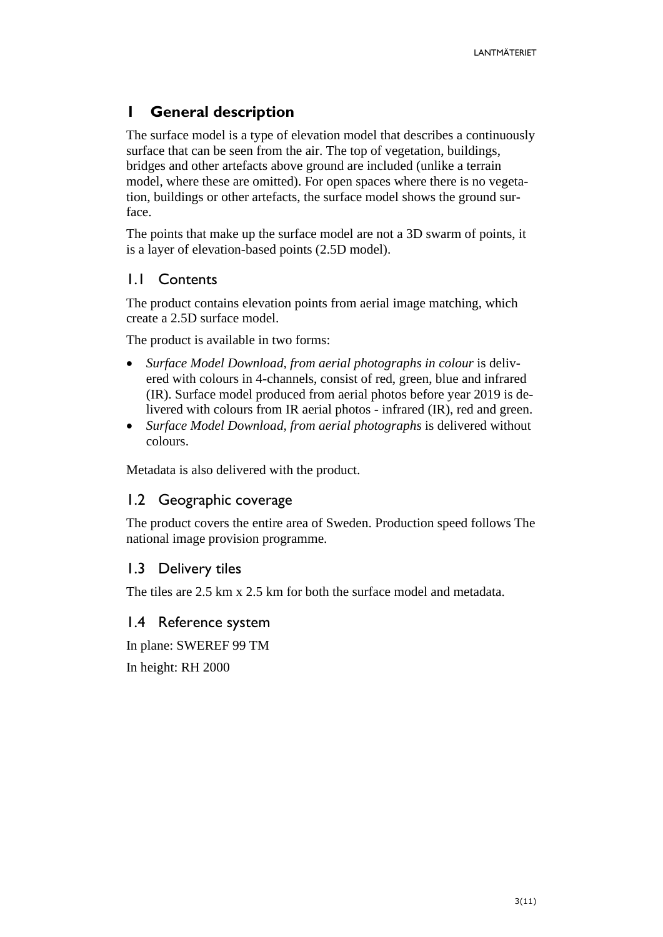# <span id="page-2-0"></span>**1 General description**

The surface model is a type of elevation model that describes a continuously surface that can be seen from the air. The top of vegetation, buildings, bridges and other artefacts above ground are included (unlike a terrain model, where these are omitted). For open spaces where there is no vegetation, buildings or other artefacts, the surface model shows the ground surface.

The points that make up the surface model are not a 3D swarm of points, it is a layer of elevation-based points (2.5D model).

# <span id="page-2-1"></span>1.1 Contents

The product contains elevation points from aerial image matching, which create a 2.5D surface model.

The product is available in two forms:

- *Surface Model Download, from aerial photographs in colour* is delivered with colours in 4-channels, consist of red, green, blue and infrared (IR). Surface model produced from aerial photos before year 2019 is delivered with colours from IR aerial photos - infrared (IR), red and green.
- *Surface Model Download, from aerial photographs* is delivered without colours.

Metadata is also delivered with the product.

# <span id="page-2-2"></span>1.2 Geographic coverage

The product covers the entire area of Sweden. Production speed follows The national image provision programme.

# <span id="page-2-3"></span>1.3 Delivery tiles

The tiles are 2.5 km x 2.5 km for both the surface model and metadata.

# <span id="page-2-4"></span>1.4 Reference system

In plane: SWEREF 99 TM

In height: RH 2000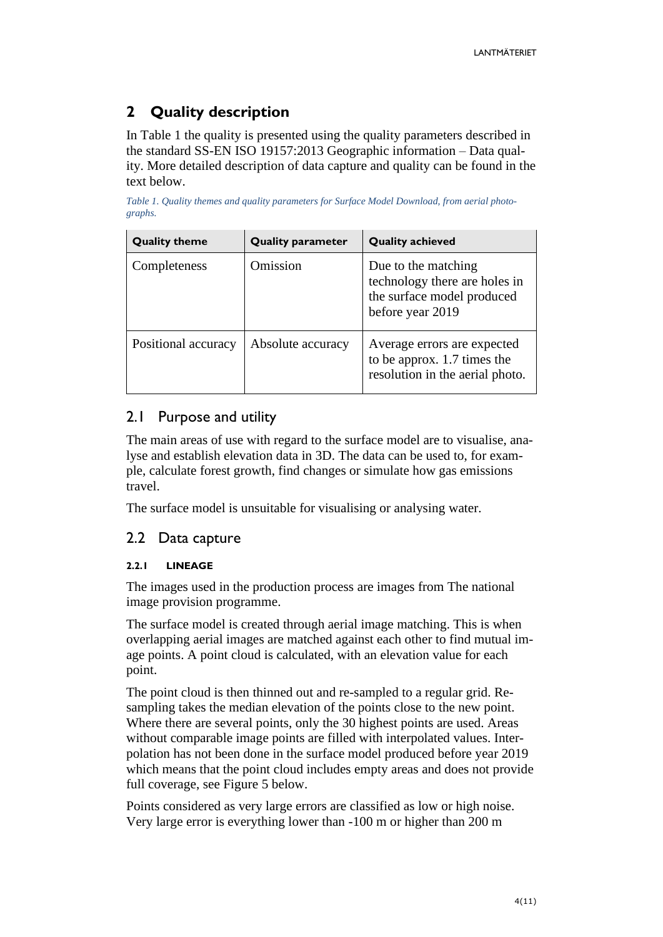# <span id="page-3-0"></span>**2 Quality description**

In Table 1 the quality is presented using the quality parameters described in the standard SS-EN ISO 19157:2013 Geographic information – Data quality. More detailed description of data capture and quality can be found in the text below.

*Table 1. Quality themes and quality parameters for Surface Model Download, from aerial photographs.*

| <b>Quality theme</b> | <b>Quality parameter</b> | <b>Quality achieved</b>                                                                                |
|----------------------|--------------------------|--------------------------------------------------------------------------------------------------------|
| Completeness         | Omission                 | Due to the matching<br>technology there are holes in<br>the surface model produced<br>before year 2019 |
| Positional accuracy  | Absolute accuracy        | Average errors are expected<br>to be approx. 1.7 times the<br>resolution in the aerial photo.          |

# <span id="page-3-1"></span>2.1 Purpose and utility

The main areas of use with regard to the surface model are to visualise, analyse and establish elevation data in 3D. The data can be used to, for example, calculate forest growth, find changes or simulate how gas emissions travel.

The surface model is unsuitable for visualising or analysing water.

# <span id="page-3-2"></span>2.2 Data capture

# <span id="page-3-3"></span>**2.2.1 LINEAGE**

The images used in the production process are images from The national image provision programme.

The surface model is created through aerial image matching. This is when overlapping aerial images are matched against each other to find mutual image points. A point cloud is calculated, with an elevation value for each point.

The point cloud is then thinned out and re-sampled to a regular grid. Resampling takes the median elevation of the points close to the new point. Where there are several points, only the 30 highest points are used. Areas without comparable image points are filled with interpolated values. Interpolation has not been done in the surface model produced before year 2019 which means that the point cloud includes empty areas and does not provide full coverage, see Figure 5 below.

Points considered as very large errors are classified as low or high noise. Very large error is everything lower than -100 m or higher than 200 m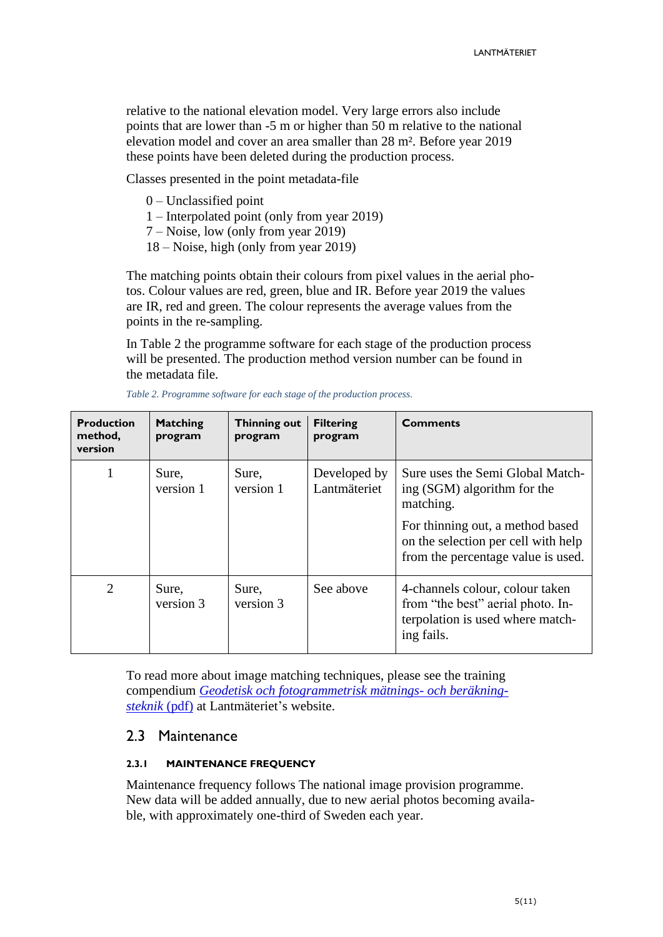relative to the national elevation model. Very large errors also include points that are lower than -5 m or higher than 50 m relative to the national elevation model and cover an area smaller than 28 m². Before year 2019 these points have been deleted during the production process.

Classes presented in the point metadata-file

- 0 Unclassified point
- 1 Interpolated point (only from year 2019)
- 7 Noise, low (only from year 2019)
- 18 Noise, high (only from year 2019)

The matching points obtain their colours from pixel values in the aerial photos. Colour values are red, green, blue and IR. Before year 2019 the values are IR, red and green. The colour represents the average values from the points in the re-sampling.

In Table 2 the programme software for each stage of the production process will be presented. The production method version number can be found in the metadata file.

| <b>Production</b><br>method,<br>version | <b>Matching</b><br>program | Thinning out<br>program | <b>Filtering</b><br>program  | <b>Comments</b>                                                                                                        |
|-----------------------------------------|----------------------------|-------------------------|------------------------------|------------------------------------------------------------------------------------------------------------------------|
| 1                                       | Sure,<br>version 1         | Sure,<br>version 1      | Developed by<br>Lantmäteriet | Sure uses the Semi Global Match-<br>ing (SGM) algorithm for the<br>matching.                                           |
|                                         |                            |                         |                              | For thinning out, a method based<br>on the selection per cell with help<br>from the percentage value is used.          |
| 2                                       | Sure,<br>version 3         | Sure,<br>version 3      | See above                    | 4-channels colour, colour taken<br>from "the best" aerial photo. In-<br>terpolation is used where match-<br>ing fails. |

*Table 2. Programme software for each stage of the production process.*

To read more about image matching techniques, please see the training compendium *[Geodetisk och fotogrammetrisk mätnings-](https://www.lantmateriet.se/contentassets/d5aaa74128a14124817e6c85a164b6a2/kompendium20131028.pdf) och beräkning[steknik](https://www.lantmateriet.se/contentassets/d5aaa74128a14124817e6c85a164b6a2/kompendium20131028.pdf)* (pdf) at Lantmäteriet's website.

# <span id="page-4-0"></span>2.3 Maintenance

#### <span id="page-4-1"></span>**2.3.1 MAINTENANCE FREQUENCY**

Maintenance frequency follows The national image provision programme. New data will be added annually, due to new aerial photos becoming available, with approximately one-third of Sweden each year.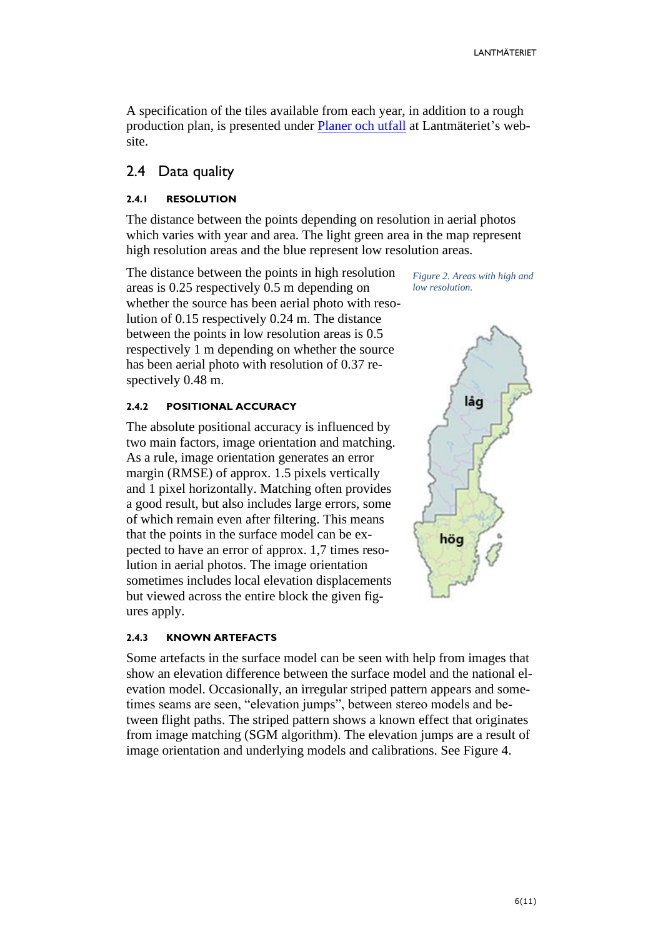A specification of the tiles available from each year, in addition to a rough production plan, is presented under [Planer och utfall](https://www.lantmateriet.se/sv/Kartor-och-geografisk-information/geodataprodukter/ytmodell-fran-flygbilder/?steg=3) at Lantmäteriet's website.

### <span id="page-5-0"></span>2.4 Data quality

#### <span id="page-5-1"></span>**2.4.1 RESOLUTION**

The distance between the points depending on resolution in aerial photos which varies with year and area. The light green area in the map represent high resolution areas and the blue represent low resolution areas.

The distance between the points in high resolution areas is 0.25 respectively 0.5 m depending on whether the source has been aerial photo with resolution of 0.15 respectively 0.24 m. The distance between the points in low resolution areas is 0.5 respectively 1 m depending on whether the source has been aerial photo with resolution of 0.37 respectively 0.48 m.

#### <span id="page-5-2"></span>**2.4.2 POSITIONAL ACCURACY**

The absolute positional accuracy is influenced by two main factors, image orientation and matching. As a rule, image orientation generates an error margin (RMSE) of approx. 1.5 pixels vertically and 1 pixel horizontally. Matching often provides a good result, but also includes large errors, some of which remain even after filtering. This means that the points in the surface model can be expected to have an error of approx. 1,7 times resolution in aerial photos. The image orientation sometimes includes local elevation displacements but viewed across the entire block the given figures apply.

#### <span id="page-5-3"></span>**2.4.3 KNOWN ARTEFACTS**

Some artefacts in the surface model can be seen with help from images that show an elevation difference between the surface model and the national elevation model. Occasionally, an irregular striped pattern appears and sometimes seams are seen, "elevation jumps", between stereo models and between flight paths. The striped pattern shows a known effect that originates from image matching (SGM algorithm). The elevation jumps are a result of image orientation and underlying models and calibrations. See Figure 4.

*Figure 2. Areas with high and low resolution.*

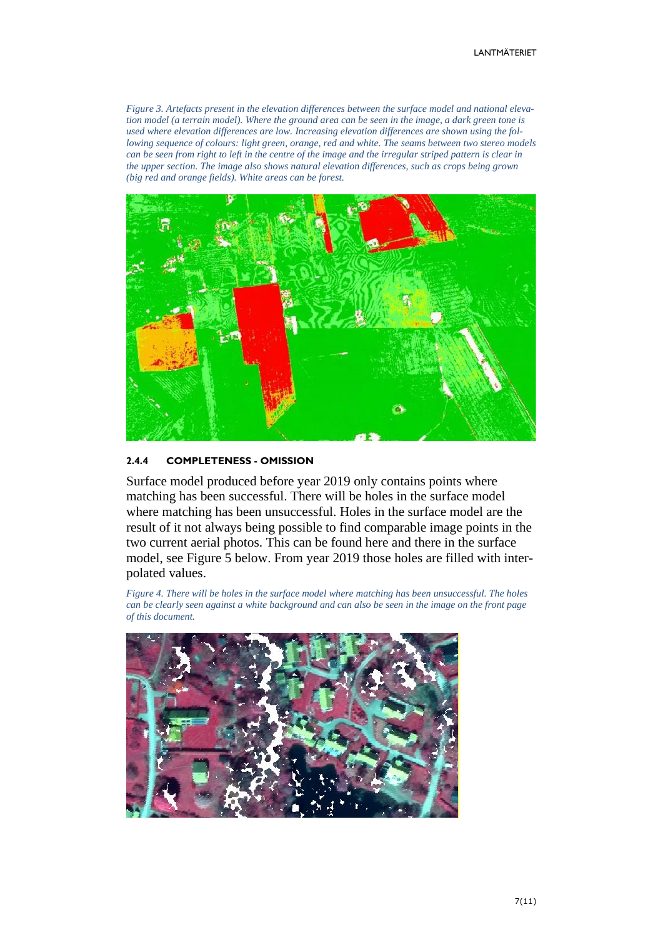*Figure 3. Artefacts present in the elevation differences between the surface model and national elevation model (a terrain model). Where the ground area can be seen in the image, a dark green tone is used where elevation differences are low. Increasing elevation differences are shown using the following sequence of colours: light green, orange, red and white. The seams between two stereo models can be seen from right to left in the centre of the image and the irregular striped pattern is clear in the upper section. The image also shows natural elevation differences, such as crops being grown (big red and orange fields). White areas can be forest.*



#### <span id="page-6-0"></span>**2.4.4 COMPLETENESS - OMISSION**

Surface model produced before year 2019 only contains points where matching has been successful. There will be holes in the surface model where matching has been unsuccessful. Holes in the surface model are the result of it not always being possible to find comparable image points in the two current aerial photos. This can be found here and there in the surface model, see Figure 5 below. From year 2019 those holes are filled with interpolated values.

*Figure 4. There will be holes in the surface model where matching has been unsuccessful. The holes can be clearly seen against a white background and can also be seen in the image on the front page of this document.*

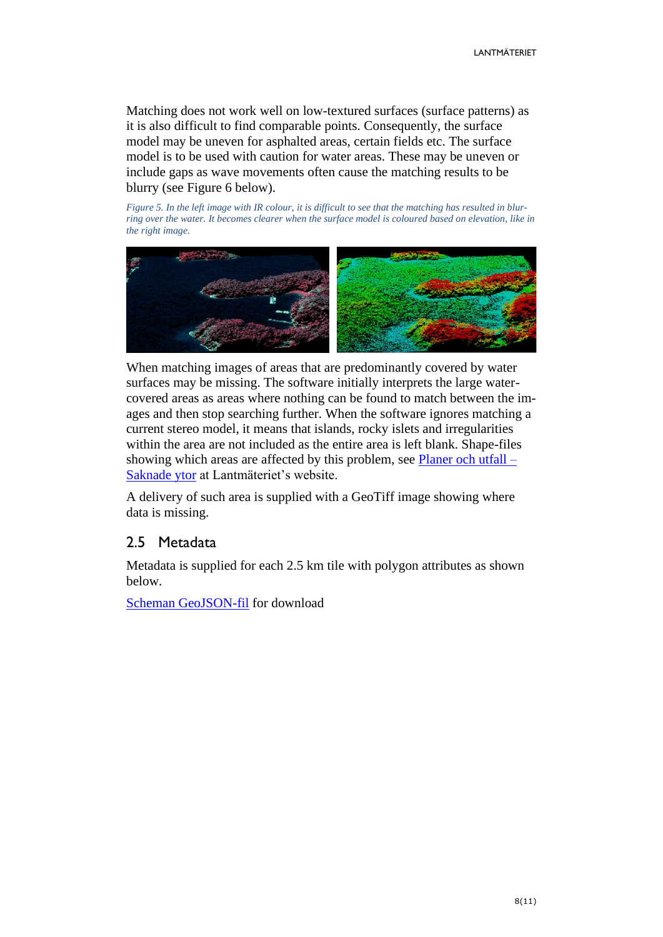Matching does not work well on low-textured surfaces (surface patterns) as it is also difficult to find comparable points. Consequently, the surface model may be uneven for asphalted areas, certain fields etc. The surface model is to be used with caution for water areas. These may be uneven or include gaps as wave movements often cause the matching results to be blurry (see Figure 6 below).

*Figure 5. In the left image with IR colour, it is difficult to see that the matching has resulted in blurring over the water. It becomes clearer when the surface model is coloured based on elevation, like in the right image.*



When matching images of areas that are predominantly covered by water surfaces may be missing. The software initially interprets the large watercovered areas as areas where nothing can be found to match between the images and then stop searching further. When the software ignores matching a current stereo model, it means that islands, rocky islets and irregularities within the area are not included as the entire area is left blank. Shape-files showing which areas are affected by this problem, see [Planer och utfall –](https://www.lantmateriet.se/sv/Kartor-och-geografisk-information/geodataprodukter/ytmodell-fran-flygbilder/?steg=3) [Saknade ytor](https://www.lantmateriet.se/sv/Kartor-och-geografisk-information/geodataprodukter/ytmodell-fran-flygbilder/?steg=3) at Lantmäteriet's website.

A delivery of such area is supplied with a GeoTiff image showing where data is missing.

# <span id="page-7-0"></span>2.5 Metadata

Metadata is supplied for each 2.5 km tile with polygon attributes as shown below.

[Scheman GeoJSON-fil](http://namespace.lantmateriet.se/distribution/produkter/ytmodell/v1/) for download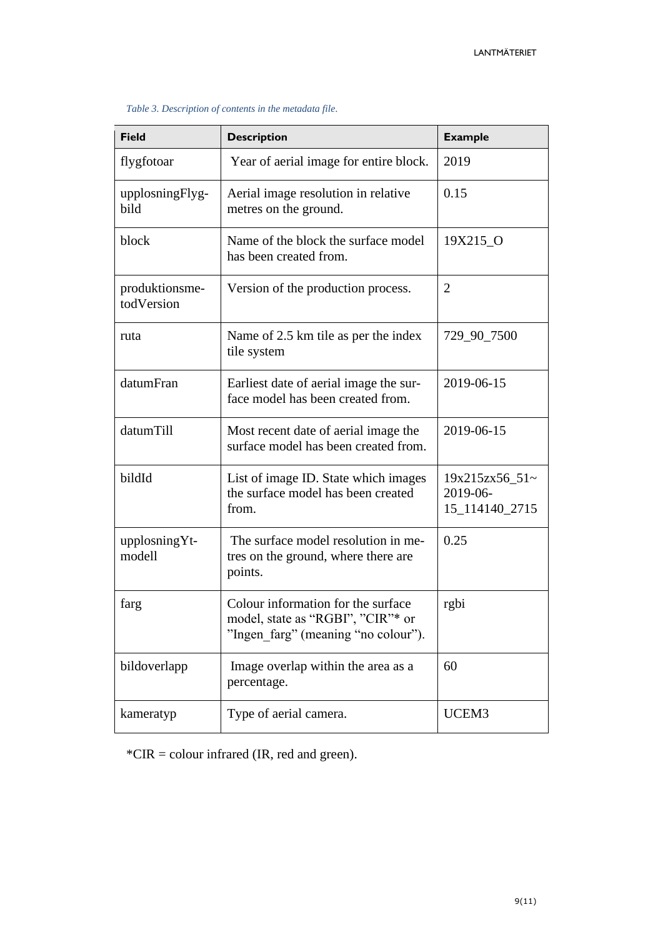| <b>Field</b>                 | <b>Description</b>                                                                                             | <b>Example</b>                                  |
|------------------------------|----------------------------------------------------------------------------------------------------------------|-------------------------------------------------|
| flygfotoar                   | Year of aerial image for entire block.                                                                         | 2019                                            |
| upplosningFlyg-<br>bild      | Aerial image resolution in relative<br>metres on the ground.                                                   | 0.15                                            |
| block                        | Name of the block the surface model<br>has been created from.                                                  | 19X215 O                                        |
| produktionsme-<br>todVersion | Version of the production process.                                                                             | $\overline{2}$                                  |
| ruta                         | Name of 2.5 km tile as per the index<br>tile system                                                            | 729_90_7500                                     |
| datumFran                    | Earliest date of aerial image the sur-<br>face model has been created from.                                    | 2019-06-15                                      |
| datumTill                    | Most recent date of aerial image the<br>surface model has been created from.                                   | 2019-06-15                                      |
| bildId                       | List of image ID. State which images<br>the surface model has been created<br>from.                            | $19x215zx56_51$ ~<br>2019-06-<br>15_114140_2715 |
| upplosningYt-<br>modell      | The surface model resolution in me-<br>tres on the ground, where there are<br>points.                          | 0.25                                            |
| farg                         | Colour information for the surface<br>model, state as "RGBI", "CIR"* or<br>"Ingen farg" (meaning "no colour"). | rgbi                                            |
| bildoverlapp                 | Image overlap within the area as a<br>percentage.                                                              | 60                                              |
| kameratyp                    | Type of aerial camera.                                                                                         | UCEM3                                           |

#### *Table 3. Description of contents in the metadata file.*

\*CIR = colour infrared (IR, red and green).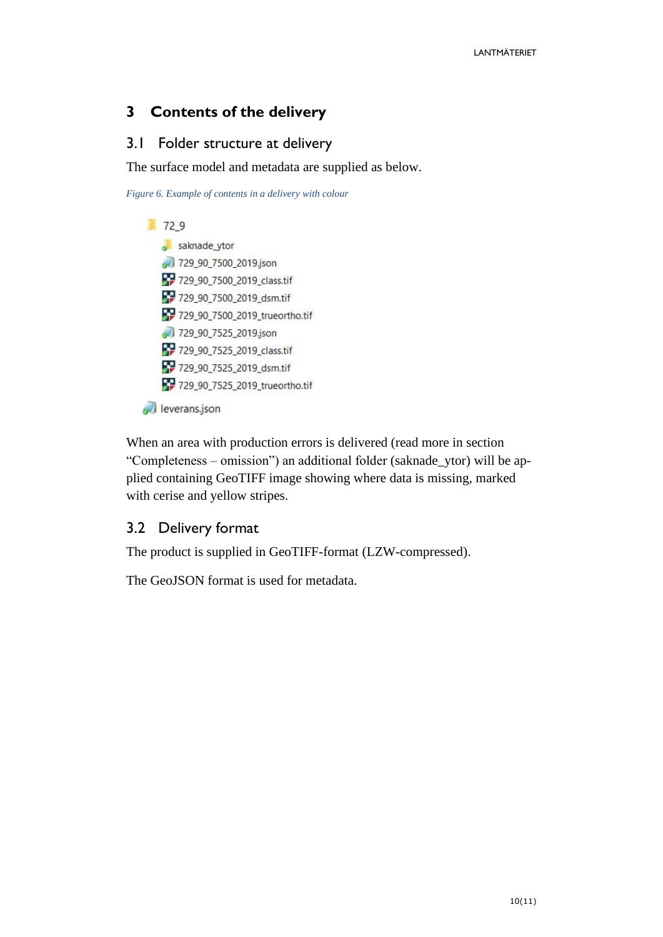# <span id="page-9-0"></span>**3 Contents of the delivery**

# <span id="page-9-1"></span>3.1 Folder structure at delivery

The surface model and metadata are supplied as below.

*Figure 6. Example of contents in a delivery with colour*



When an area with production errors is delivered (read more in section "Completeness – omission") an additional folder (saknade\_ytor) will be applied containing GeoTIFF image showing where data is missing, marked with cerise and yellow stripes.

# <span id="page-9-2"></span>3.2 Delivery format

The product is supplied in GeoTIFF-format (LZW-compressed).

The GeoJSON format is used for metadata.